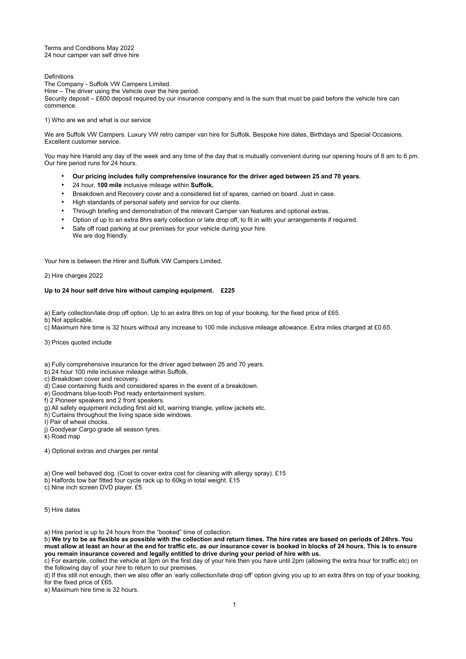Terms and Conditions May 2022 24 hour camper van self drive hire

**Definitions** 

The Company - Suffolk VW Campers Limited. Hirer – The driver using the Vehicle over the hire period. Security deposit – £600 deposit required by our insurance company and is the sum that must be paid before the vehicle hire can commence.

1) Who are we and what is our service

We are Suffolk VW Campers. Luxury VW retro camper van hire for Suffolk. Bespoke hire dates, Birthdays and Special Occasions. Excellent customer service.

You may hire Harold any day of the week and any time of the day that is mutually convenient during our opening hours of 8 am to 6 pm. Our hire period runs for 24 hours.

- **Our pricing includes fully comprehensive insurance for the driver aged between 25 and 70 years.**
- 24 hour, **100 mile** inclusive mileage within **Suffolk.**
- Breakdown and Recovery cover and a considered list of spares, carried on board. Just in case.
- High standards of personal safety and service for our clients.
- Through briefing and demonstration of the relevant Camper van features and optional extras.
- Option of up to an extra 8hrs early collection or late drop off, to fit in with your arrangements if required.
- Safe off road parking at our premises for your vehicle during your hire. We are dog friendly.

Your hire is between the Hirer and Suffolk VW Campers Limited.

2) Hire charges 2022

## **Up to 24 hour self drive hire without camping equipment. £225**

a) Early collection/late drop off option. Up to an extra 8hrs on top of your booking, for the fixed price of £65.

b) Not applicable.

c) Maximum hire time is 32 hours without any increase to 100 mile inclusive mileage allowance. Extra miles charged at £0.65.

3) Prices quoted include

a) Fully comprehensive insurance for the driver aged between 25 and 70 years.

b) 24 hour 100 mile inclusive mileage within Suffolk.

c) Breakdown cover and recovery.

d) Case containing fluids and considered spares in the event of a breakdown.

e) Goodmans blue-tooth Pod ready entertainment system.

f) 2 Pioneer speakers and 2 front speakers.

g) All safety equipment including first aid kit, warning triangle, yellow jackets etc.

h) Curtains throughout the living space side windows.

I) Pair of wheel chocks.

j) Goodyear Cargo grade all season tyres.

k) Road map

4) Optional extras and charges per rental

- a) One well behaved dog. (Cost to cover extra cost for cleaning with allergy spray). £15
- b) Halfords tow bar fitted four cycle rack up to 60kg in total weight. £15

c) Nine inch screen DVD player. £5

5) Hire dates

a) Hire period is up to 24 hours from the "booked" time of collection.

b) **We try to be as flexible as possible with the collection and return times. The hire rates are based on periods of 24hrs. You must allow at least an hour at the end for traffic etc. as our insurance cover is booked in blocks of 24 hours. This is to ensure you remain insurance covered and legally entitled to drive during your period of hire with us.** 

c) For example, collect the vehicle at 3pm on the first day of your hire then you have until 2pm (allowing the extra hour for traffic etc) on the following day of your hire to return to our premises.

d) If this still not enough, then we also offer an 'early collection/late drop off' option giving you up to an extra 8hrs on top of your booking, for the fixed price of £65.

e) Maximum hire time is 32 hours.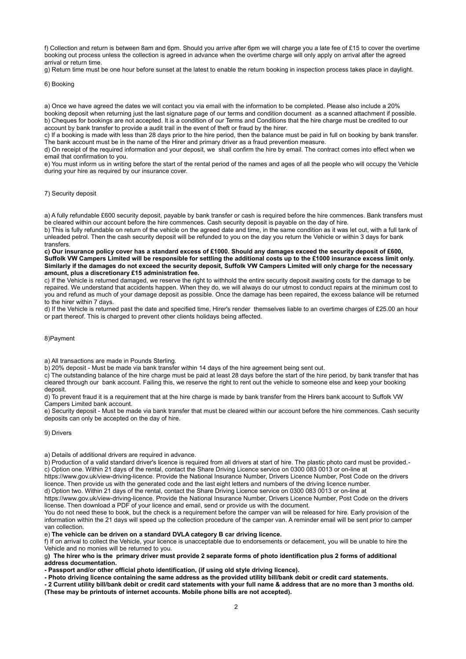f) Collection and return is between 8am and 6pm. Should you arrive after 6pm we will charge you a late fee of £15 to cover the overtime booking out process unless the collection is agreed in advance when the overtime charge will only apply on arrival after the agreed arrival or return time.

g) Return time must be one hour before sunset at the latest to enable the return booking in inspection process takes place in daylight.

#### 6) Booking

a) Once we have agreed the dates we will contact you via email with the information to be completed. Please also include a 20% booking deposit when returning just the last signature page of our terms and condition document as a scanned attachment if possible. b) Cheques for bookings are not accepted. It is a condition of our Terms and Conditions that the hire charge must be credited to our account by bank transfer to provide a audit trail in the event of theft or fraud by the hirer.

c) If a booking is made with less than 28 days prior to the hire period, then the balance must be paid in full on booking by bank transfer. The bank account must be in the name of the Hirer and primary driver as a fraud prevention measure.

d) On receipt of the required information and your deposit, we shall confirm the hire by email. The contract comes into effect when we email that confirmation to you.

e) You must inform us in writing before the start of the rental period of the names and ages of all the people who will occupy the Vehicle during your hire as required by our insurance cover.

## 7) Security deposit

a) A fully refundable £600 security deposit, payable by bank transfer or cash is required before the hire commences. Bank transfers must be cleared within our account before the hire commences. Cash security deposit is payable on the day of hire.

b) This is fully refundable on return of the vehicle on the agreed date and time, in the same condition as it was let out, with a full tank of unleaded petrol. Then the cash security deposit will be refunded to you on the day you return the Vehicle or within 3 days for bank transfers.

**c) Our insurance policy cover has a standard excess of £1000. Should any damages exceed the security deposit of £600, Suffolk VW Campers Limited will be responsible for settling the additional costs up to the £1000 insurance excess limit only. Similarly if the damages do not exceed the security deposit, Suffolk VW Campers Limited will only charge for the necessary amount, plus a discretionary £15 administration fee.**

c) If the Vehicle is returned damaged, we reserve the right to withhold the entire security deposit awaiting costs for the damage to be repaired. We understand that accidents happen. When they do, we will always do our utmost to conduct repairs at the minimum cost to you and refund as much of your damage deposit as possible. Once the damage has been repaired, the excess balance will be returned to the hirer within 7 days.

d) If the Vehicle is returned past the date and specified time, Hirer's render themselves liable to an overtime charges of £25.00 an hour or part thereof. This is charged to prevent other clients holidays being affected.

## 8)Payment

a) All transactions are made in Pounds Sterling.

b) 20% deposit - Must be made via bank transfer within 14 days of the hire agreement being sent out.

c) The outstanding balance of the hire charge must be paid at least 28 days before the start of the hire period, by bank transfer that has cleared through our bank account. Failing this, we reserve the right to rent out the vehicle to someone else and keep your booking deposit.

d) To prevent fraud it is a requirement that at the hire charge is made by bank transfer from the Hirers bank account to Suffolk VW Campers Limited bank account.

e) Security deposit - Must be made via bank transfer that must be cleared within our account before the hire commences. Cash security deposits can only be accepted on the day of hire.

9) Drivers

a) Details of additional drivers are required in advance.

b) Production of a valid standard driver's licence is required from all drivers at start of hire. The plastic photo card must be provided. c) Option one. Within 21 days of the rental, contact the Share Driving Licence service on 0300 083 0013 or on-line at

https://www.gov.uk/view-driving-licence. Provide the National Insurance Number, Drivers Licence Number, Post Code on the drivers licence. Then provide us with the generated code and the last eight letters and numbers of the driving licence number.

d) Option two. Within 21 days of the rental, contact the Share Driving Licence service on 0300 083 0013 or on-line at https://www.gov.uk/view-driving-licence. Provide the National Insurance Number, Drivers Licence Number, Post Code on the drivers license. Then download a PDF of your licence and email, send or provide us with the document.

You do not need these to book, but the check is a requirement before the camper van will be released for hire. Early provision of the information within the 21 days will speed up the collection procedure of the camper van. A reminder email will be sent prior to camper van collection.

e) **The vehicle can be driven on a standard DVLA category B car driving licence.**

f) If on arrival to collect the Vehicle, your licence is unacceptable due to endorsements or defacement, you will be unable to hire the Vehicle and no monies will be returned to you.

g**) The hirer who is the primary driver must provide 2 separate forms of photo identification plus 2 forms of additional address documentation.**

**- Passport and/or other official photo identification, (if using old style driving licence).**

**- Photo driving licence containing the same address as the provided utility bill/bank debit or credit card statements.**

**- 2 Current utility bill/bank debit or credit card statements with your full name & address that are no more than 3 months old. (These may be printouts of internet accounts. Mobile phone bills are not accepted).**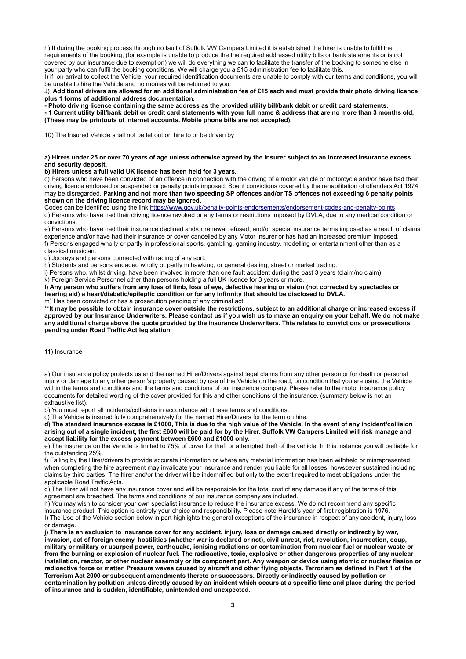h) If during the booking process through no fault of Suffolk VW Campers Limited it is established the hirer is unable to fulfil the requirements of the booking, (for example is unable to produce the the required addressed utility bills or bank statements or is not covered by our insurance due to exemption) we will do everything we can to facilitate the transfer of the booking to someone else in your party who can fulfil the booking conditions. We will charge you a £15 administration fee to facilitate this.

I) if on arrival to collect the Vehicle, your required identification documents are unable to comply with our terms and conditions, you will be unable to hire the Vehicle and no monies will be returned to you.

J) **Additional drivers are allowed for an additional administration fee of £15 each and must provide their photo driving licence plus 1 forms of additional address documentation.**

**- Photo driving licence containing the same address as the provided utility bill/bank debit or credit card statements.**

**- 1 Current utility bill/bank debit or credit card statements with your full name & address that are no more than 3 months old. (These may be printouts of internet accounts. Mobile phone bills are not accepted).** 

10) The Insured Vehicle shall not be let out on hire to or be driven by

## **a) Hirers under 25 or over 70 years of age unless otherwise agreed by the Insurer subject to an increased insurance excess and security deposit.**

**b) Hirers unless a full valid UK licence has been held for 3 years.**

c) Persons who have been convicted of an offence in connection with the driving of a motor vehicle or motorcycle and/or have had their driving licence endorsed or suspended or penalty points imposed. Spent convictions covered by the rehabilitation of offenders Act 1974 may be disregarded. **Parking and not more than two speeding SP offences and/or TS offences not exceeding 6 penalty points shown on the driving licence record may be ignored.** 

Codes can be identified using the link<https://www.gov.uk/penalty-points-endorsements/endorsement-codes-and-penalty-points> d) Persons who have had their driving licence revoked or any terms or restrictions imposed by DVLA, due to any medical condition or convictions.

e) Persons who have had their insurance declined and/or renewal refused, and/or special insurance terms imposed as a result of claims experience and/or have had their insurance or cover cancelled by any Motor Insurer or has had an increased premium imposed. f) Persons engaged wholly or partly in professional sports, gambling, gaming industry, modelling or entertainment other than as a classical musician.

g) Jockeys and persons connected with racing of any sort.

h) Students and persons engaged wholly or partly in hawking, or general dealing, street or market trading.

i) Persons who, whilst driving, have been involved in more than one fault accident during the past 3 years (claim/no claim).

k) Foreign Service Personnel other than persons holding a full UK licence for 3 years or more.

**I) Any person who suffers from any loss of limb, loss of eye, defective hearing or vision (not corrected by spectacles or hearing aid) a heart/diabetic/epileptic condition or for any infirmity that should be disclosed to DVLA.**  m) Has been convicted or has a prosecution pending of any criminal act.

\*\***It may be possible to obtain insurance cover outside the restrictions, subject to an additional charge or increased excess if** 

**approved by our Insurance Underwriters. Please contact us if you wish us to make an enquiry on your behalf. We do not make any additional charge above the quote provided by the insurance Underwriters. This relates to convictions or prosecutions pending under Road Traffic Act legislation.**

11) Insurance

a) Our insurance policy protects us and the named Hirer/Drivers against legal claims from any other person or for death or personal injury or damage to any other person's property caused by use of the Vehicle on the road, on condition that you are using the Vehicle within the terms and conditions and the terms and conditions of our insurance company. Please refer to the motor insurance policy documents for detailed wording of the cover provided for this and other conditions of the insurance. (summary below is not an exhaustive list).

b) You must report all incidents/collisions in accordance with these terms and conditions.

c) The Vehicle is insured fully comprehensively for the named Hirer/Drivers for the term on hire.

**d) The standard insurance excess is £1000, This is due to the high value of the Vehicle. In the event of any incident/collision arising out of a single incident, the first £600 will be paid for by the Hirer. Suffolk VW Campers Limited will risk manage and accept liability for the excess payment between £600 and £1000 only.**

e) The insurance on the Vehicle is limited to 75% of cover for theft or attempted theft of the vehicle. In this instance you will be liable for the outstanding 25%.

f) Failing by the Hirer/drivers to provide accurate information or where any material information has been withheld or misrepresented when completing the hire agreement may invalidate your insurance and render you liable for all losses, howsoever sustained including claims by third parties. The hirer and/or the driver will be indemnified but only to the extent required to meet obligations under the applicable Road Traffic Acts.

g) The Hirer will not have any insurance cover and will be responsible for the total cost of any damage if any of the terms of this agreement are breached. The terms and conditions of our insurance company are included.

h) You may wish to consider your own specialist insurance to reduce the insurance excess. We do not recommend any specific insurance product. This option is entirely your choice and responsibility. Please note Harold's year of first registration is 1976. I) The Use of the Vehicle section below in part highlights the general exceptions of the insurance in respect of any accident, injury, loss or damage.

**j) There is an exclusion to insurance cover for any accident, injury, loss or damage caused directly or indirectly by war, invasion, act of foreign enemy, hostilities (whether war is declared or not), civil unrest, riot, revolution, insurrection, coup, military or military or usurped power, earthquake, ionising radiations or contamination from nuclear fuel or nuclear waste or from the burning or explosion of nuclear fuel. The radioactive, toxic, explosive or other dangerous properties of any nuclear installation, reactor, or other nuclear assembly or its component part. Any weapon or device using atomic or nuclear fission or radioactive force or matter. Pressure waves caused by aircraft and other flying objects. Terrorism as defined in Part 1 of the Terrorism Act 2000 or subsequent amendments thereto or successors. Directly or indirectly caused by pollution or contamination by pollution unless directly caused by an incident which occurs at a specific time and place during the period of insurance and is sudden, identifiable, unintended and unexpected.**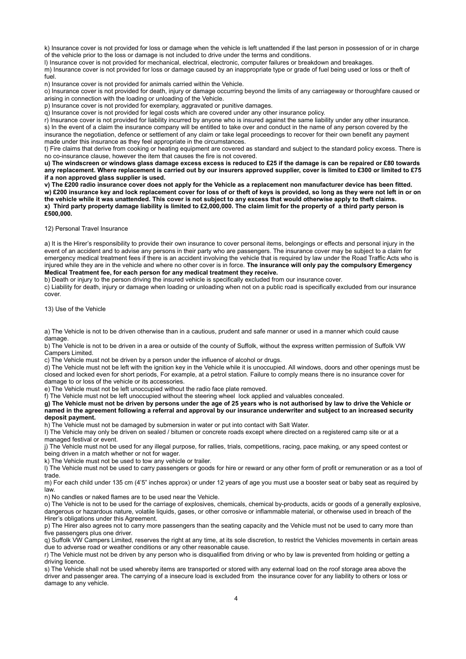k) Insurance cover is not provided for loss or damage when the vehicle is left unattended if the last person in possession of or in charge of the vehicle prior to the loss or damage is not included to drive under the terms and conditions.

l) Insurance cover is not provided for mechanical, electrical, electronic, computer failures or breakdown and breakages.

m) Insurance cover is not provided for loss or damage caused by an inappropriate type or grade of fuel being used or loss or theft of fuel.

n) Insurance cover is not provided for animals carried within the Vehicle.

o) Insurance cover is not provided for death, injury or damage occurring beyond the limits of any carriageway or thoroughfare caused or arising in connection with the loading or unloading of the Vehicle.

p) Insurance cover is not provided for exemplary, aggravated or punitive damages.

q) Insurance cover is not provided for legal costs which are covered under any other insurance policy.

r) Insurance cover is not provided for liability incurred by anyone who is insured against the same liability under any other insurance. s) In the event of a claim the insurance company will be entitled to take over and conduct in the name of any person covered by the insurance the negotiation, defence or settlement of any claim or take legal proceedings to recover for their own benefit any payment made under this insurance as they feel appropriate in the circumstances.

t) Fire claims that derive from cooking or heating equipment are covered as standard and subject to the standard policy excess. There is no co-insurance clause, however the item that causes the fire is not covered.

**u) The windscreen or windows glass damage excess excess is reduced to £25 if the damage is can be repaired or £80 towards any replacement. Where replacement is carried out by our insurers approved supplier, cover is limited to £300 or limited to £75 if a non approved glass supplier is used.** 

**v) The £200 radio insurance cover does not apply for the Vehicle as a replacement non manufacturer device has been fitted. w) £200 insurance key and lock replacement cover for loss of or theft of keys is provided, so long as they were not left in or on the vehicle while it was unattended. This cover is not subject to any excess that would otherwise apply to theft claims. x) Third party property damage liability is limited to £2,000,000. The claim limit for the property of a third party person is £500,000.** 

12) Personal Travel Insurance

a) It is the Hirer's responsibility to provide their own insurance to cover personal items, belongings or effects and personal injury in the event of an accident and to advise any persons in their party who are passengers. The insurance cover may be subject to a claim for emergency medical treatment fees if there is an accident involving the vehicle that is required by law under the Road Traffic Acts who is injured while they are in the vehicle and where no other cover is in force. **The insurance will only pay the compulsory Emergency Medical Treatment fee, for each person for any medical treatment they receive.** 

b) Death or injury to the person driving the insured vehicle is specifically excluded from our insurance cover.

c) Liability for death, injury or damage when loading or unloading when not on a public road is specifically excluded from our insurance cover.

13) Use of the Vehicle

a) The Vehicle is not to be driven otherwise than in a cautious, prudent and safe manner or used in a manner which could cause damage.

b) The Vehicle is not to be driven in a area or outside of the county of Suffolk, without the express written permission of Suffolk VW Campers Limited.

c) The Vehicle must not be driven by a person under the influence of alcohol or drugs.

d) The Vehicle must not be left with the ignition key in the Vehicle while it is unoccupied. All windows, doors and other openings must be closed and locked even for short periods, For example, at a petrol station. Failure to comply means there is no insurance cover for damage to or loss of the vehicle or its accessories.

e) The Vehicle must not be left unoccupied without the radio face plate removed.

f) The Vehicle must not be left unoccupied without the steering wheel lock applied and valuables concealed.

**g) The Vehicle must not be driven by persons under the age of 25 years who is not authorised by law to drive the Vehicle or named in the agreement following a referral and approval by our insurance underwriter and subject to an increased security deposit payment.**

h) The Vehicle must not be damaged by submersion in water or put into contact with Salt Water.

I) The Vehicle may only be driven on sealed / bitumen or concrete roads except where directed on a registered camp site or at a managed festival or event.

j) The Vehicle must not be used for any illegal purpose, for rallies, trials, competitions, racing, pace making, or any speed contest or being driven in a match whether or not for wager.

k) The Vehicle must not be used to tow any vehicle or trailer.

l) The Vehicle must not be used to carry passengers or goods for hire or reward or any other form of profit or remuneration or as a tool of trade.

m) For each child under 135 cm (4'5" inches approx) or under 12 years of age you must use a booster seat or baby seat as required by law.

n) No candles or naked flames are to be used near the Vehicle.

o) The Vehicle is not to be used for the carriage of explosives, chemicals, chemical by-products, acids or goods of a generally explosive, dangerous or hazardous nature, volatile liquids, gases, or other corrosive or inflammable material, or otherwise used in breach of the Hirer's obligations under this Agreement.

p) The Hirer also agrees not to carry more passengers than the seating capacity and the Vehicle must not be used to carry more than five passengers plus one driver.

q) Suffolk VW Campers Limited, reserves the right at any time, at its sole discretion, to restrict the Vehicles movements in certain areas due to adverse road or weather conditions or any other reasonable cause.

r) The Vehicle must not be driven by any person who is disqualified from driving or who by law is prevented from holding or getting a driving licence.

s) The Vehicle shall not be used whereby items are transported or stored with any external load on the roof storage area above the driver and passenger area. The carrying of a insecure load is excluded from the insurance cover for any liability to others or loss or damage to any vehicle.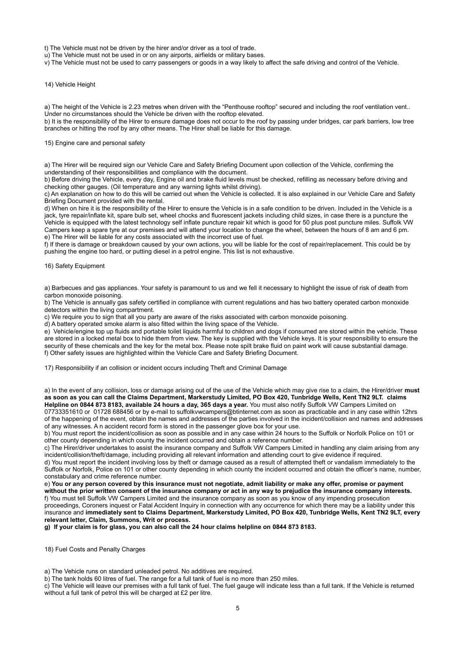t) The Vehicle must not be driven by the hirer and/or driver as a tool of trade.

u) The Vehicle must not be used in or on any airports, airfields or military bases.

v) The Vehicle must not be used to carry passengers or goods in a way likely to affect the safe driving and control of the Vehicle.

#### 14) Vehicle Height

a) The height of the Vehicle is 2.23 metres when driven with the "Penthouse rooftop" secured and including the roof ventilation vent.. Under no circumstances should the Vehicle be driven with the rooftop elevated.

b) It is the responsibility of the Hirer to ensure damage does not occur to the roof by passing under bridges, car park barriers, low tree branches or hitting the roof by any other means. The Hirer shall be liable for this damage.

## 15) Engine care and personal safety

a) The Hirer will be required sign our Vehicle Care and Safety Briefing Document upon collection of the Vehicle, confirming the understanding of their responsibilities and compliance with the document.

b) Before driving the Vehicle, every day, Engine oil and brake fluid levels must be checked, refilling as necessary before driving and checking other gauges. (Oil temperature and any warning lights whilst driving).

c) An explanation on how to do this will be carried out when the Vehicle is collected. It is also explained in our Vehicle Care and Safety Briefing Document provided with the rental.

d) When on hire it is the responsibility of the Hirer to ensure the Vehicle is in a safe condition to be driven. Included in the Vehicle is a jack, tyre repair/inflate kit, spare bulb set, wheel chocks and fluorescent jackets including child sizes, in case there is a puncture the Vehicle is equipped with the latest technology self inflate puncture repair kit which is good for 50 plus post puncture miles. Suffolk VW Campers keep a spare tyre at our premises and will attend your location to change the wheel, between the hours of 8 am and 6 pm. e) The Hirer will be liable for any costs associated with the incorrect use of fuel.

f) If there is damage or breakdown caused by your own actions, you will be liable for the cost of repair/replacement. This could be by pushing the engine too hard, or putting diesel in a petrol engine. This list is not exhaustive.

#### 16) Safety Equipment

a) Barbecues and gas appliances. Your safety is paramount to us and we fell it necessary to highlight the issue of risk of death from carbon monoxide poisoning.

b) The Vehicle is annually gas safety certified in compliance with current regulations and has two battery operated carbon monoxide detectors within the living compartment.

c) We require you to sign that all you party are aware of the risks associated with carbon monoxide poisoning.

d) A battery operated smoke alarm is also fitted within the living space of the Vehicle.

e) Vehicle/engine top up fluids and portable toilet liquids harmful to children and dogs if consumed are stored within the vehicle. These are stored in a locked metal box to hide them from view. The key is supplied with the Vehicle keys. It is your responsibility to ensure the security of these chemicals and the key for the metal box. Please note spilt brake fluid on paint work will cause substantial damage. f) Other safety issues are highlighted within the Vehicle Care and Safety Briefing Document.

17) Responsibility if an collision or incident occurs including Theft and Criminal Damage

a) In the event of any collision, loss or damage arising out of the use of the Vehicle which may give rise to a claim, the Hirer/driver **must as soon as you can call the Claims Department, Markerstudy Limited, PO Box 420, Tunbridge Wells, Kent TN2 9LT. claims Helpline on 0844 873 8183, available 24 hours a day, 365 days a year.** You must also notify Suffolk VW Campers Limited on 07733351610 or 01728 688456 or by e-mail to suffolkvwcampers@btinternet.com as soon as practicable and in any case within 12hrs

of the happening of the event, obtain the names and addresses of the parties involved in the incident/collision and names and addresses of any witnesses. A n accident record form is stored in the passenger glove box for your use.

b) You must report the incident/collision as soon as possible and in any case within 24 hours to the Suffolk or Norfolk Police on 101 or other county depending in which county the incident occurred and obtain a reference number.

c) The Hirer/driver undertakes to assist the insurance company and Suffolk VW Campers Limited in handling any claim arising from any incident/collision/theft/damage, including providing all relevant information and attending court to give evidence if required.

d) You must report the incident involving loss by theft or damage caused as a result of attempted theft or vandalism immediately to the Suffolk or Norfolk, Police on 101 or other county depending in which county the incident occurred and obtain the officer's name, number, constabulary and crime reference number.

e) **You or any person covered by this insurance must not negotiate, admit liability or make any offer, promise or payment without the prior written consent of the insurance company or act in any way to prejudice the insurance company interests.**  f) You must tell Suffolk VW Campers Limited and the insurance company as soon as you know of any impending prosecution proceedings, Coroners inquest or Fatal Accident Inquiry in connection with any occurrence for which there may be a liability under this insurance and **immediately sent to Claims Department, Markerstudy Limited, PO Box 420, Tunbridge Wells, Kent TN2 9LT, every relevant letter, Claim, Summons, Writ or process.** 

**g) If your claim is for glass, you can also call the 24 hour claims helpline on 0844 873 8183.** 

18) Fuel Costs and Penalty Charges

a) The Vehicle runs on standard unleaded petrol. No additives are required.

b) The tank holds 60 litres of fuel. The range for a full tank of fuel is no more than 250 miles.

c) The Vehicle will leave our premises with a full tank of fuel. The fuel gauge will indicate less than a full tank. If the Vehicle is returned without a full tank of petrol this will be charged at £2 per litre.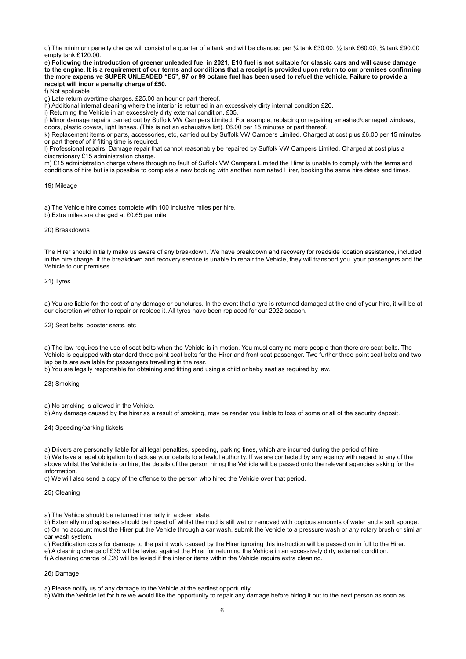d) The minimum penalty charge will consist of a quarter of a tank and will be changed per ¼ tank £30.00, ½ tank £60.00, ¾ tank £90.00 empty tank £120.00.

e) **Following the introduction of greener unleaded fuel in 2021, E10 fuel is not suitable for classic cars and will cause damage to the engine. It is a requirement of our terms and conditions that a receipt is provided upon return to our premises confirming the more expensive SUPER UNLEADED "E5", 97 or 99 octane fuel has been used to refuel the vehicle. Failure to provide a receipt will incur a penalty charge of £50.** 

f) Not applicable

g) Late return overtime charges. £25.00 an hour or part thereof.

h) Additional internal cleaning where the interior is returned in an excessively dirty internal condition £20.

i) Returning the Vehicle in an excessively dirty external condition. £35.

j) Minor damage repairs carried out by Suffolk VW Campers Limited. For example, replacing or repairing smashed/damaged windows,

doors, plastic covers, light lenses. (This is not an exhaustive list). £6.00 per 15 minutes or part thereof.

k) Replacement items or parts, accessories, etc, carried out by Suffolk VW Campers Limited. Charged at cost plus £6.00 per 15 minutes or part thereof of if fitting time is required.

l) Professional repairs. Damage repair that cannot reasonably be repaired by Suffolk VW Campers Limited. Charged at cost plus a discretionary £15 administration charge.

m) £15 administration charge where through no fault of Suffolk VW Campers Limited the Hirer is unable to comply with the terms and conditions of hire but is is possible to complete a new booking with another nominated Hirer, booking the same hire dates and times.

### 19) Mileage

a) The Vehicle hire comes complete with 100 inclusive miles per hire.

b) Extra miles are charged at £0.65 per mile.

#### 20) Breakdowns

The Hirer should initially make us aware of any breakdown. We have breakdown and recovery for roadside location assistance, included in the hire charge. If the breakdown and recovery service is unable to repair the Vehicle, they will transport you, your passengers and the Vehicle to our premises.

## 21) Tyres

a) You are liable for the cost of any damage or punctures. In the event that a tyre is returned damaged at the end of your hire, it will be at our discretion whether to repair or replace it. All tyres have been replaced for our 2022 season.

## 22) Seat belts, booster seats, etc

a) The law requires the use of seat belts when the Vehicle is in motion. You must carry no more people than there are seat belts. The Vehicle is equipped with standard three point seat belts for the Hirer and front seat passenger. Two further three point seat belts and two lap belts are available for passengers travelling in the rear.

b) You are legally responsible for obtaining and fitting and using a child or baby seat as required by law.

## 23) Smoking

a) No smoking is allowed in the Vehicle.

b) Any damage caused by the hirer as a result of smoking, may be render you liable to loss of some or all of the security deposit.

#### 24) Speeding/parking tickets

a) Drivers are personally liable for all legal penalties, speeding, parking fines, which are incurred during the period of hire.

b) We have a legal obligation to disclose your details to a lawful authority. If we are contacted by any agency with regard to any of the above whilst the Vehicle is on hire, the details of the person hiring the Vehicle will be passed onto the relevant agencies asking for the information.

c) We will also send a copy of the offence to the person who hired the Vehicle over that period.

## 25) Cleaning

a) The Vehicle should be returned internally in a clean state.

b) Externally mud splashes should be hosed off whilst the mud is still wet or removed with copious amounts of water and a soft sponge. c) On no account must the Hirer put the Vehicle through a car wash, submit the Vehicle to a pressure wash or any rotary brush or similar car wash system.

d) Rectification costs for damage to the paint work caused by the Hirer ignoring this instruction will be passed on in full to the Hirer. e) A cleaning charge of £35 will be levied against the Hirer for returning the Vehicle in an excessively dirty external condition.

f) A cleaning charge of £20 will be levied if the interior items within the Vehicle require extra cleaning.

# 26) Damage

a) Please notify us of any damage to the Vehicle at the earliest opportunity.

b) With the Vehicle let for hire we would like the opportunity to repair any damage before hiring it out to the next person as soon as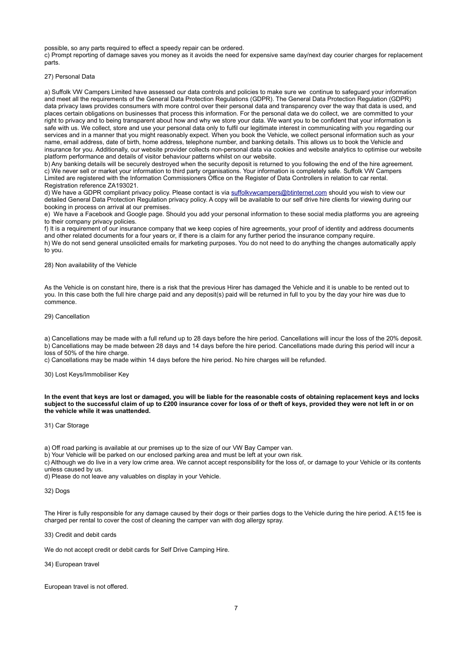possible, so any parts required to effect a speedy repair can be ordered.

c) Prompt reporting of damage saves you money as it avoids the need for expensive same day/next day courier charges for replacement parts.

### 27) Personal Data

a) Suffolk VW Campers Limited have assessed our data controls and policies to make sure we continue to safeguard your information and meet all the requirements of the General Data Protection Regulations (GDPR). The General Data Protection Regulation (GDPR) data privacy laws provides consumers with more control over their personal data and transparency over the way that data is used, and places certain obligations on businesses that process this information. For the personal data we do collect, we are committed to your right to privacy and to being transparent about how and why we store your data. We want you to be confident that your information is safe with us. We collect, store and use your personal data only to fulfil our legitimate interest in communicating with you regarding our services and in a manner that you might reasonably expect. When you book the Vehicle, we collect personal information such as your name, email address, date of birth, home address, telephone number, and banking details. This allows us to book the Vehicle and insurance for you. Additionally, our website provider collects non-personal data via cookies and website analytics to optimise our website platform performance and details of visitor behaviour patterns whilst on our website.

b) Any banking details will be securely destroyed when the security deposit is returned to you following the end of the hire agreement. c) We never sell or market your information to third party organisations. Your information is completely safe. Suffolk VW Campers Limited are registered with the Information Commissioners Office on the Register of Data Controllers in relation to car rental. Registration reference ZA193021.

d) We have a GDPR compliant privacy policy. Please contact is via [suffolkvwcampers@btinternet.com](mailto:suffolkvwcampers@btinternet.com) should you wish to view our detailed General Data Protection Regulation privacy policy. A copy will be available to our self drive hire clients for viewing during our booking in process on arrival at our premises.

e) We have a Facebook and Google page. Should you add your personal information to these social media platforms you are agreeing to their company privacy policies.

f) It is a requirement of our insurance company that we keep copies of hire agreements, your proof of identity and address documents and other related documents for a four years or, if there is a claim for any further period the insurance company require. h) We do not send general unsolicited emails for marketing purposes. You do not need to do anything the changes automatically apply to you.

28) Non availability of the Vehicle

As the Vehicle is on constant hire, there is a risk that the previous Hirer has damaged the Vehicle and it is unable to be rented out to you. In this case both the full hire charge paid and any deposit(s) paid will be returned in full to you by the day your hire was due to commence.

29) Cancellation

a) Cancellations may be made with a full refund up to 28 days before the hire period. Cancellations will incur the loss of the 20% deposit. b) Cancellations may be made between 28 days and 14 days before the hire period. Cancellations made during this period will incur a loss of 50% of the hire charge.

c) Cancellations may be made within 14 days before the hire period. No hire charges will be refunded.

30) Lost Keys/Immobiliser Key

**In the event that keys are lost or damaged, you will be liable for the reasonable costs of obtaining replacement keys and locks subject to the successful claim of up to £200 insurance cover for loss of or theft of keys, provided they were not left in or on the vehicle while it was unattended.**

31) Car Storage

a) Off road parking is available at our premises up to the size of our VW Bay Camper van.

b) Your Vehicle will be parked on our enclosed parking area and must be left at your own risk.

c) Although we do live in a very low crime area. We cannot accept responsibility for the loss of, or damage to your Vehicle or its contents unless caused by us.

d) Please do not leave any valuables on display in your Vehicle.

32) Dogs

The Hirer is fully responsible for any damage caused by their dogs or their parties dogs to the Vehicle during the hire period. A £15 fee is charged per rental to cover the cost of cleaning the camper van with dog allergy spray.

33) Credit and debit cards

We do not accept credit or debit cards for Self Drive Camping Hire.

34) European travel

European travel is not offered.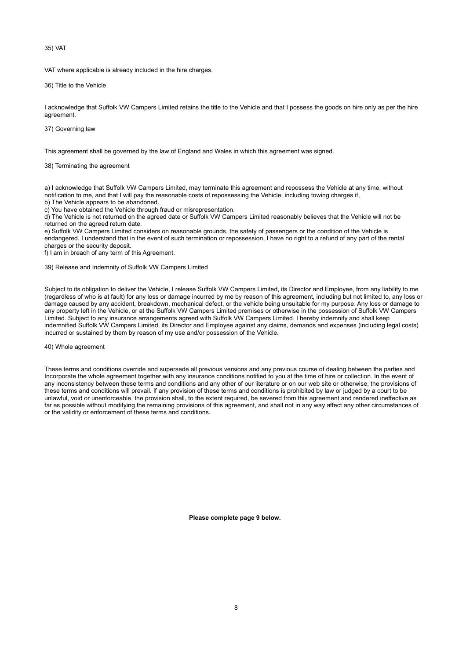35) VAT

VAT where applicable is already included in the hire charges.

36) Title to the Vehicle

I acknowledge that Suffolk VW Campers Limited retains the title to the Vehicle and that I possess the goods on hire only as per the hire agreement.

37) Governing law

This agreement shall be governed by the law of England and Wales in which this agreement was signed.

. 38) Terminating the agreement

a) I acknowledge that Suffolk VW Campers Limited, may terminate this agreement and repossess the Vehicle at any time, without notification to me, and that I will pay the reasonable costs of repossessing the Vehicle, including towing charges if,

b) The Vehicle appears to be abandoned.

c) You have obtained the Vehicle through fraud or misrepresentation.

d) The Vehicle is not returned on the agreed date or Suffolk VW Campers Limited reasonably believes that the Vehicle will not be returned on the agreed return date.

e) Suffolk VW Campers Limited considers on reasonable grounds, the safety of passengers or the condition of the Vehicle is endangered. I understand that in the event of such termination or repossession, I have no right to a refund of any part of the rental charges or the security deposit.

f) I am in breach of any term of this Agreement.

39) Release and Indemnity of Suffolk VW Campers Limited

Subject to its obligation to deliver the Vehicle, I release Suffolk VW Campers Limited, its Director and Employee, from any liability to me (regardless of who is at fault) for any loss or damage incurred by me by reason of this agreement, including but not limited to, any loss or damage caused by any accident, breakdown, mechanical defect, or the vehicle being unsuitable for my purpose. Any loss or damage to any property left in the Vehicle, or at the Suffolk VW Campers Limited premises or otherwise in the possession of Suffolk VW Campers Limited. Subject to any insurance arrangements agreed with Suffolk VW Campers Limited. I hereby indemnify and shall keep indemnified Suffolk VW Campers Limited, its Director and Employee against any claims, demands and expenses (including legal costs) incurred or sustained by them by reason of my use and/or possession of the Vehicle.

40) Whole agreement

These terms and conditions override and supersede all previous versions and any previous course of dealing between the parties and Incorporate the whole agreement together with any insurance conditions notified to you at the time of hire or collection. In the event of any inconsistency between these terms and conditions and any other of our literature or on our web site or otherwise, the provisions of these terms and conditions will prevail. If any provision of these terms and conditions is prohibited by law or judged by a court to be unlawful, void or unenforceable, the provision shall, to the extent required, be severed from this agreement and rendered ineffective as far as possible without modifying the remaining provisions of this agreement, and shall not in any way affect any other circumstances of or the validity or enforcement of these terms and conditions.

**Please complete page 9 below.**